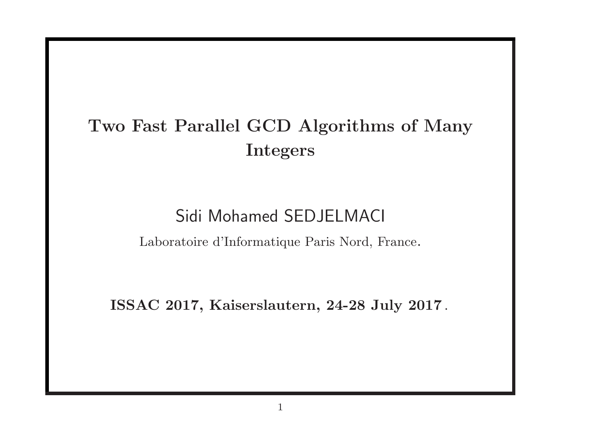# Two Fast Parallel GCD Algorithms of Many Integers

## Sidi Mohamed SEDJELMACI

Laboratoire d'Informatique Paris Nord, France.

ISSAC 2017, Kaiserslautern, 24-28 July 2017 .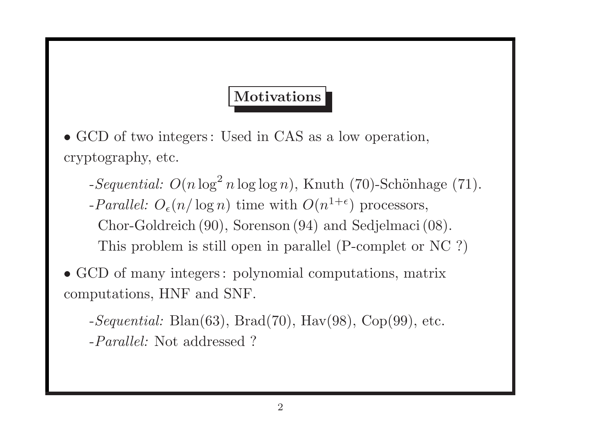## **Motivations**

• GCD of two integers: Used in CAS as a low operation, cryptography, etc.

- $-Sequential: O(n \log^2 n \log \log n)$ , Knuth (70)-Schönhage (71).
- -Parallel:  $O_{\epsilon}(n/\log n)$  time with  $O(n^{1+\epsilon})$  processors, Chor-Goldreich (90), Sorenson (94) and Sedjelmaci (08). This problem is still open in parallel (P-complet or NC ?)
- GCD of many integers : polynomial computations, matrix computations, HNF and SNF.

 $-Sequential: \, \text{Blan}(63), \, \text{Brad}(70), \, \text{Hav}(98), \, \text{Cop}(99), \, \text{etc.}$ -Parallel: Not addressed ?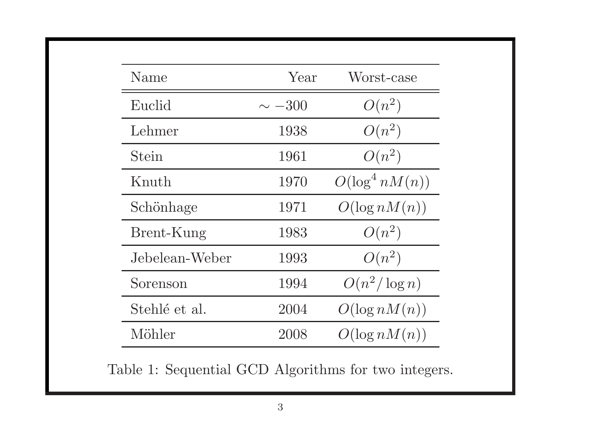| Name           | Year        | Worst-case        |
|----------------|-------------|-------------------|
| Euclid         | $\sim -300$ | $O(n^2)$          |
| Lehmer         | 1938        | $O(n^2)$          |
| Stein          | 1961        | $O(n^2)$          |
| Knuth          | 1970        | $O(\log^4 nM(n))$ |
| Schönhage      | 1971        | $O(\log nM(n))$   |
| Brent-Kung     | 1983        | $O(n^2)$          |
| Jebelean-Weber | 1993        | $O(n^2)$          |
| Sorenson       | 1994        | $O(n^2/\log n)$   |
| Stehlé et al.  | 2004        | $O(\log nM(n))$   |
| Möhler         | 2008        | $O(\log nM(n))$   |

Table 1: Sequential GCD Algorithms for two integers.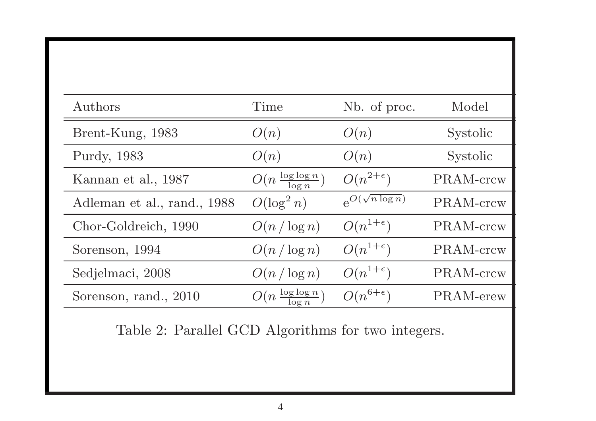| Authors                     | Time                              | Nb. of proc.             | Model     |
|-----------------------------|-----------------------------------|--------------------------|-----------|
| Brent-Kung, 1983            | O(n)                              | O(n)                     | Systolic  |
| Purdy, 1983                 | O(n)                              | O(n)                     | Systolic  |
| Kannan et al., 1987         | $O(n \frac{\log \log n}{\log n})$ | $O(n^{2+\epsilon})$      | PRAM-crcw |
| Adleman et al., rand., 1988 | $O(\log^2 n)$                     | $e^{O(\sqrt{n \log n})}$ | PRAM-crcw |
| Chor-Goldreich, 1990        | $O(n/\log n)$                     | $O(n^{1+\epsilon})$      | PRAM-crcw |
| Sorenson, 1994              | $O(n/\log n)$                     | $O(n^{1+\epsilon})$      | PRAM-crcw |
| Sedjelmaci, 2008            | $O(n/\log n)$                     | $O(n^{1+\epsilon})$      | PRAM-crcw |
| Sorenson, rand., 2010       | $O(n \frac{\log \log n}{\log n})$ | $O(n^{6+\epsilon})$      | PRAM-erew |

Table 2: Parallel GCD Algorithms for two integers.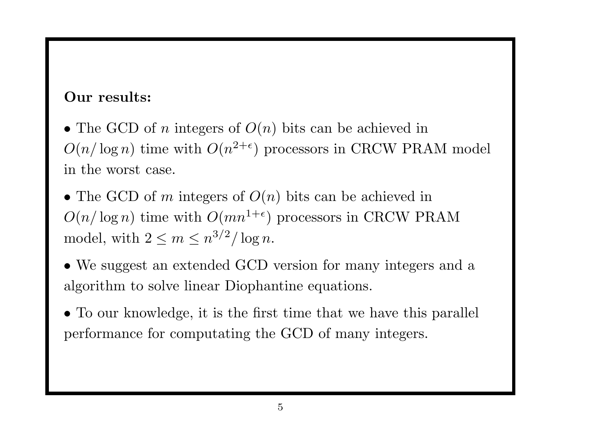#### Our results:

• The GCD of n integers of  $O(n)$  bits can be achieved in  $O(n/\log n)$  time with  $O(n^{2+\epsilon})$  processors in CRCW PRAM model in the worst case.

• The GCD of m integers of  $O(n)$  bits can be achieved in  $O(n/\log n)$  time with  $O(mn^{1+\epsilon})$  processors in CRCW PRAM model, with  $2 \leq m \leq n^{3/2} / \log n$ .

• We suggest an extended GCD version for many integers and a algorithm to solve linear Diophantine equations.

• To our knowledge, it is the first time that we have this parallel performance for computating the GCD of many integers.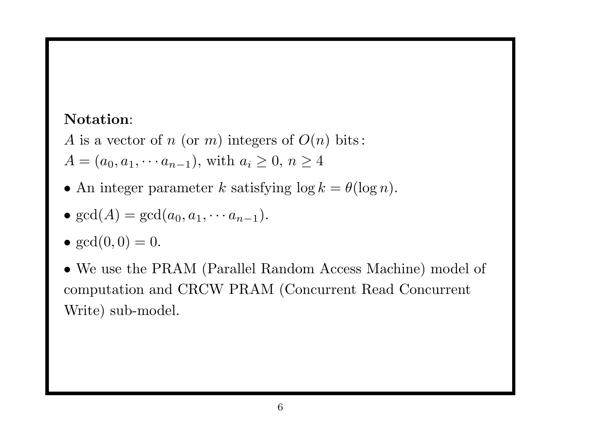### Notation:

- A is a vector of n (or m) integers of  $O(n)$  bits:
- $A = (a_0, a_1, \cdots a_{n-1}),$  with  $a_i \geq 0, n \geq 4$
- An integer parameter k satisfying  $\log k = \theta(\log n)$ .

• 
$$
gcd(A) = gcd(a_0, a_1, \cdots a_{n-1}).
$$

- $gcd(0, 0) = 0$ .
- We use the PRAM (Parallel Random Access Machine) model of computation and CRCW PRAM (Concurrent Read Concurrent Write) sub-model.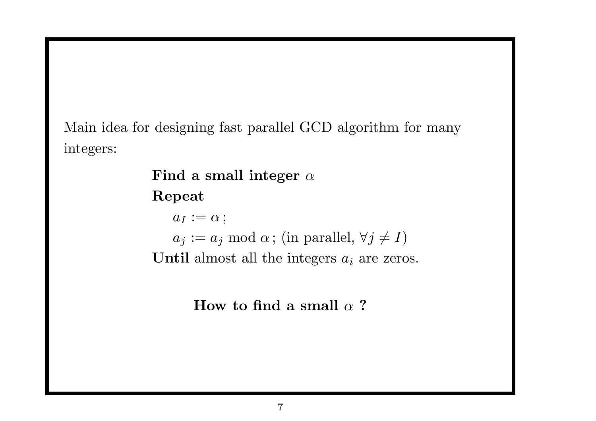Main idea for designing fast parallel GCD algorithm for many integers:

> Find a small integer  $\alpha$ Repeat  $a_I := \alpha;$  $a_j := a_j \mod \alpha$ ; (in parallel,  $\forall j \neq I$ ) Until almost all the integers  $a_i$  are zeros.

> > How to find a small  $\alpha$  ?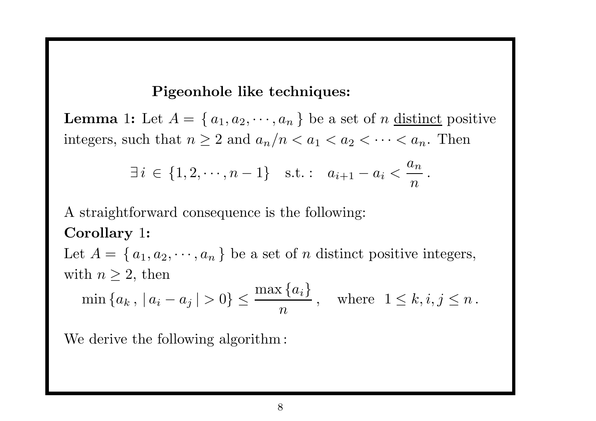#### Pigeonhole like techniques:

**Lemma** 1: Let  $A = \{a_1, a_2, \dots, a_n\}$  be a set of n distinct positive integers, such that  $n \geq 2$  and  $a_n/n < a_1 < a_2 < \cdots < a_n$ . Then

$$
\exists i \in \{1, 2, \cdots, n-1\}
$$
 s.t. :  $a_{i+1} - a_i < \frac{a_n}{n}$ 

.

A straightforward consequence is the following: Corollary 1:

Let  $A = \{a_1, a_2, \dots, a_n\}$  be a set of n distinct positive integers, with  $n \geq 2$ , then

$$
\min\left\{a_k, |a_i - a_j| > 0\right\} \le \frac{\max\left\{a_i\right\}}{n}, \text{ where } 1 \le k, i, j \le n.
$$

We derive the following algorithm: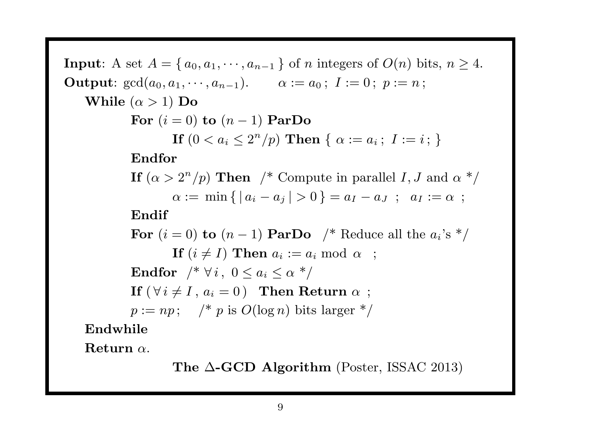Input: A set  $A = \{a_0, a_1, \dots, a_{n-1}\}\$  of n integers of  $O(n)$  bits,  $n \geq 4$ . **Output**:  $gcd(a_0, a_1, \dots, a_{n-1})$ .  $\alpha := a_0$ ;  $I := 0$ ;  $p := n$ ; While  $(\alpha > 1)$  Do For  $(i = 0)$  to  $(n - 1)$  ParDo If  $(0 < a_i < 2^n/p)$  Then  $\{ \alpha := a_i ; I := i ; \}$ Endfor If  $(\alpha > 2^n/p)$  Then /\* Compute in parallel I, J and  $\alpha$  \*/  $\alpha := \min \{ |a_i - a_j| > 0 \} = a_I - a_J ; a_I := \alpha ;$ Endif For  $(i = 0)$  to  $(n - 1)$  ParDo /\* Reduce all the  $a_i$ 's \*/ If  $(i \neq I)$  Then  $a_i := a_i \bmod \alpha$ ; Endfor  $/* \forall i, 0 \leq a_i \leq \alpha *$ If  $(\forall i \neq I, a_i = 0)$  Then Return  $\alpha$ ;  $p := np;$  /\* p is  $O(\log n)$  bits larger \*/ Endwhile

 $Return \alpha$ .

The  $\triangle$ -GCD Algorithm (Poster, ISSAC 2013)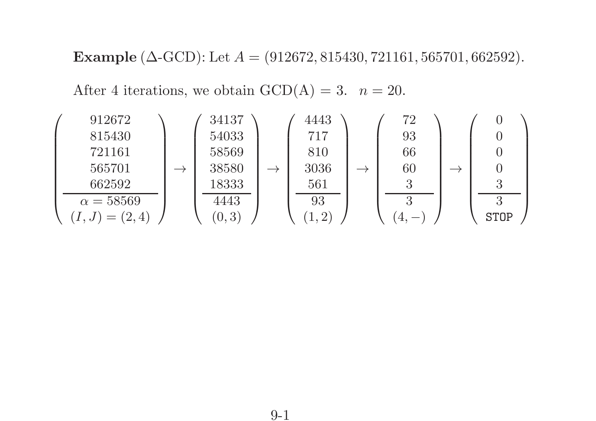Example ( $\triangle$ -GCD): Let  $A = (912672, 815430, 721161, 565701, 662592)$ .

After 4 iterations, we obtain  $GCD(A) = 3$ .  $n = 20$ .

$$
\left(\begin{array}{c}\n912672 \\
815430 \\
721161 \\
565701 \\
\hline\n\alpha = 58569 \\
(I, J) = (2, 4)\n\end{array}\right) \rightarrow \left(\begin{array}{c}\n34137 \\
54033 \\
58569 \\
38580 \\
4443 \\
\hline\n\begin{array}{c}\n93 \\
610 \\
561 \\
\hline\n\begin{array}{c}\n93 \\
60 \\
561 \\
\hline\n\end{array}\n\end{array}\right) \rightarrow \left(\begin{array}{c}\n72 \\
93 \\
66 \\
\hline\n\begin{array}{c}\n93 \\
60 \\
\hline\n\begin{array}{c}\n3\n\end{array}\n\end{array}\right) \rightarrow \left(\begin{array}{c}\n0 \\
0 \\
0 \\
\hline\n\begin{array}{c}\n3\n\end{array}\n\end{array}\right)
$$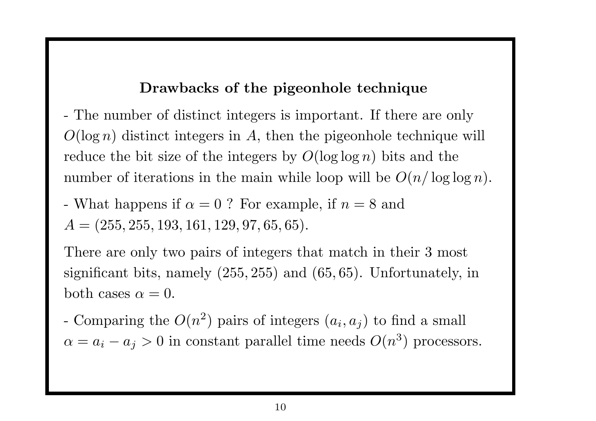#### Drawbacks of the pigeonhole technique

- The number of distinct integers is important. If there are only  $O(\log n)$  distinct integers in A, then the pigeonhole technique will reduce the bit size of the integers by  $O(\log \log n)$  bits and the number of iterations in the main while loop will be  $O(n/\log\log n)$ .

- What happens if 
$$
\alpha = 0
$$
 ? For example, if  $n = 8$  and  $A = (255, 255, 193, 161, 129, 97, 65, 65)$ .

There are only two pairs of integers that match in their 3 most significant bits, namely (255, 255) and (65, 65). Unfortunately, in both cases  $\alpha=0$ .

- Comparing the  $O(n^2)$  pairs of integers  $(a_i, a_j)$  to find a small  $\alpha = a_i - a_j > 0$  in constant parallel time needs  $O(n^3)$  processors.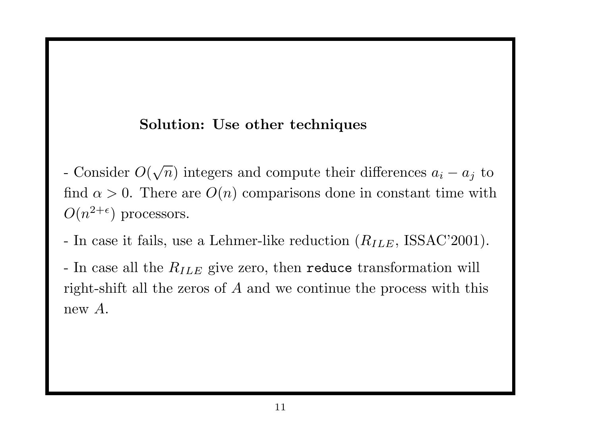#### Solution: Use other techniques

- Consider  $O(\sqrt{n})$  integers and compute their differences  $a_i a_j$  to find  $\alpha > 0$ . There are  $O(n)$  comparisons done in constant time with  $O(n^{2+\epsilon})$  processors.
- In case it fails, use a Lehmer-like reduction  $(R_{ILE}, \text{ISSAC'}2001)$ .

- In case all the  $R_{ILE}$  give zero, then reduce transformation will right-shift all the zeros of A and we continue the process with this new A.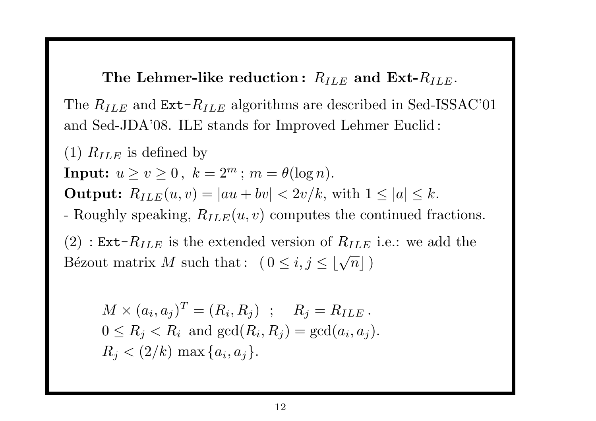The Lehmer-like reduction:  $R_{ILE}$  and  $\operatorname{Ext-}R_{ILE}.$ 

The  $R_{ILE}$  and  $\texttt{Ext-}R_{ILE}$  algorithms are described in Sed-ISSAC'01 and Sed-JDA'08. ILE stands for Improved Lehmer Euclid :

(1)  $R_{ILE}$  is defined by  $\textbf{Input:} \ \ u \geq v \geq 0 \ , \ \ k = 2^m \ ; \ m = \theta(\log n).$ Output:  $R_{ILE}(u, v) = |au + bv| < 2v/k$ , with  $1 \leq |a| \leq k$ . - Roughly speaking,  $R_{ILE}(u, v)$  computes the continued fractions.  $(2)$  : Ext- $R_{ILE}$  is the extended version of  $R_{ILE}$  i.e.: we add the  $\text{Bézout matrix } M \text{ such that: } \left(0 \leq i, j \leq \lfloor \sqrt{n} \rfloor\right)$ 

$$
M \times (a_i, a_j)^T = (R_i, R_j) \; ; \quad R_j = R_{ILE}.
$$
  
 
$$
0 \le R_j < R_i \text{ and } \gcd(R_i, R_j) = \gcd(a_i, a_j).
$$
  
 
$$
R_j < (2/k) \max\{a_i, a_j\}.
$$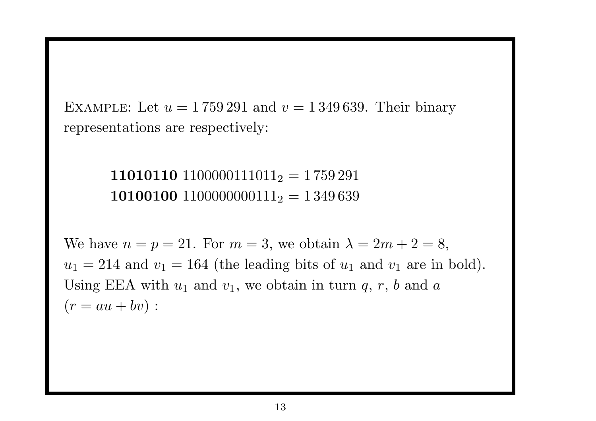EXAMPLE: Let  $u = 1759291$  and  $v = 1349639$ . Their binary representations are respectively:

> 11010110  $1100000111011_2 = 1759291$ 10100100 1100000000111<sub>2</sub> = 1 349 639

We have  $n = p = 21$ . For  $m = 3$ , we obtain  $\lambda = 2m + 2 = 8$ ,  $u_1 = 214$  and  $v_1 = 164$  (the leading bits of  $u_1$  and  $v_1$  are in bold). Using EEA with  $u_1$  and  $v_1$ , we obtain in turn q, r, b and a  $(r = au + bv):$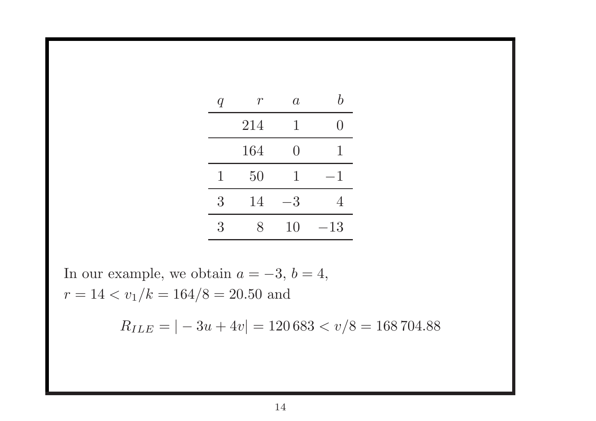| q | T.                        | $\overline{a}$  | $\boldsymbol{h}$ |
|---|---------------------------|-----------------|------------------|
|   | 214                       | 1               |                  |
|   | 164                       | $\left(\right)$ | T                |
| 1 | 50                        | 1               | 1                |
| 3 | 14                        | 3               | 4                |
| 3 | $\boldsymbol{\mathsf{R}}$ | 10              | 13               |

In our example, we obtain  $a = -3$ ,  $b = 4$ ,  $r = 14 < v_1/k = 164/8 = 20.50$  and

 $R_{ILE} = |-3u + 4v| = 120683 < v/8 = 168704.88$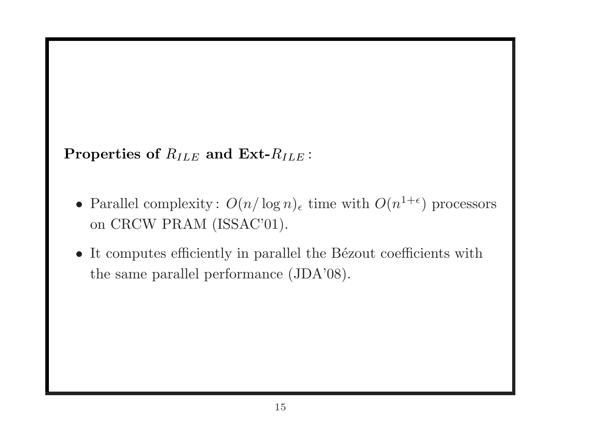Properties of  $R_{ILE}$  and  $Ext-R_{ILE}$ :

- Parallel complexity:  $O(n/\log n)_{\epsilon}$  time with  $O(n^{1+\epsilon})$  processors on CRCW PRAM (ISSAC'01).
- $\bullet$  It computes efficiently in parallel the Bézout coefficients with the same parallel performance (JDA'08).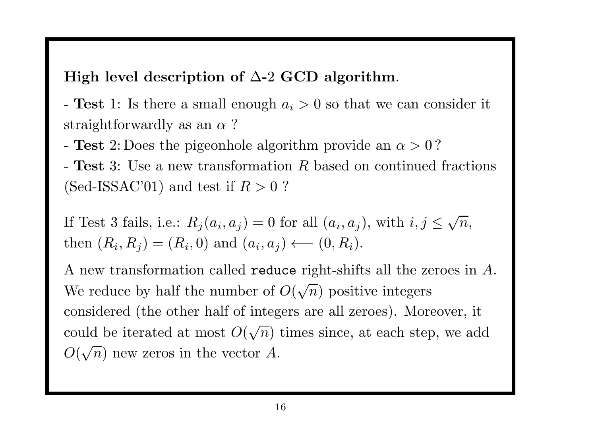### High level description of  $\Delta$ -2 GCD algorithm.

- Test 1: Is there a small enough  $a_i > 0$  so that we can consider it straightforwardly as an  $\alpha$  ?

- Test 2: Does the pigeonhole algorithm provide an  $\alpha > 0$ ?

- Test 3: Use a new transformation R based on continued fractions (Sed-ISSAC'01) and test if  $R > 0$ ?

If Test 3 fails, i.e.:  $R_j(a_i, a_j) = 0$  for all  $(a_i, a_j)$ , with  $i, j \leq \sqrt{n}$ , then  $(R_i, R_j) = (R_i, 0)$  and  $(a_i, a_j) \longleftarrow (0, R_i)$ .

A new transformation called  ${\tt reduce\ right\-shifts\ all\ the\ zeroes\ in\ }A.$ We reduce by half the number of  $O(\sqrt{n})$  positive integers considered (the other half of integers are all zeroes). Moreover, it could be iterated at most  $O(\sqrt{n})$  times since, at each step, we add  $O(\sqrt{n})$  new zeros in the vector A.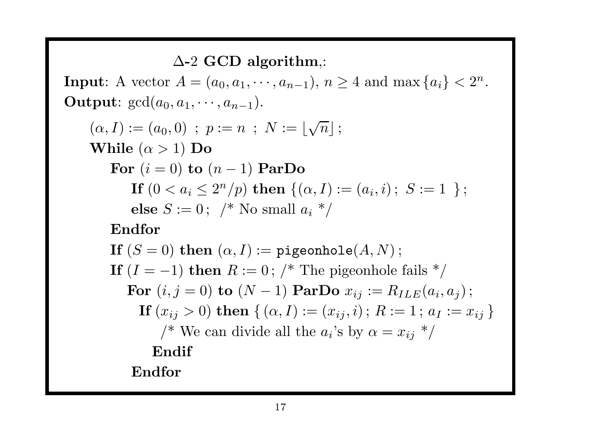$\Delta$ -2 GCD algorithm,:

**Input:** A vector  $A = (a_0, a_1, \dots, a_{n-1}), n \ge 4$  and  $\max\{a_i\} < 2^n$ . **Output:**  $gcd(a_0, a_1, \cdots, a_{n-1}).$ 

$$
(\alpha, I) := (a_0, 0) \; ; \; p := n \; ; \; N := \lfloor \sqrt{n} \rfloor ;
$$
  
While  $(\alpha > 1)$  Do  
For  $(i = 0)$  to  $(n - 1)$  ParDo  
If  $(0 < a_i \le 2^n/p)$  then  $\{(\alpha, I) := (a_i, i) \; ; \; S := 1 \}$ ;  
else  $S := 0 \; ; \; /^*$  No small  $a_i \; * /$ 

Endfor

If  $(S = 0)$  then  $(\alpha, I) :=$  pigeonhole $(A, N)$ ; If  $(I = -1)$  then  $R := 0$ ; /\* The pigeonhole fails \*/ For  $(i, j = 0)$  to  $(N - 1)$  ParDo  $x_{ij} := R_{ILE}(a_i, a_j)$ ; If  $(x_{ij} > 0)$  then  $\{(\alpha, I) := (x_{ij}, i) ; R := 1 ; a_I := x_{ij}\}\$ /\* We can divide all the  $a_i$ 's by  $\alpha = x_{ij}$  \*/ Endif Endfor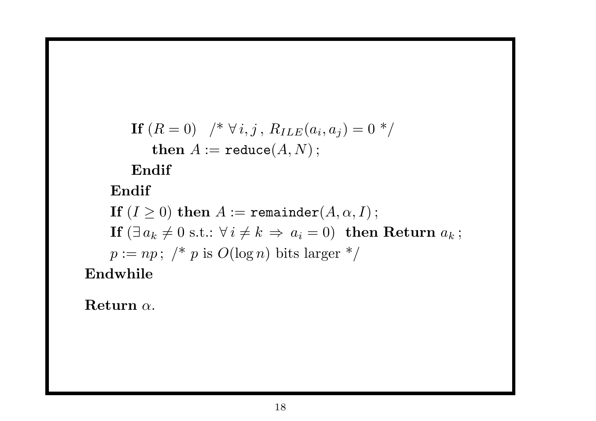If 
$$
(R = 0)
$$
  $/* \forall i, j, R_{ILE}(a_i, a_j) = 0 */$   
then  $A := \text{reduce}(A, N);$ 

Endif

Endif

If  $(I \geq 0)$  then  $A :=$  remainder $(A, \alpha, I)$ ; If  $(\exists a_k \neq 0 \text{ s.t.}: \forall i \neq k \Rightarrow a_i = 0)$  then Return  $a_k$ ;  $p := np;$  /\* p is  $O(\log n)$  bits larger \*/ Endwhile

Return <sup>α</sup>.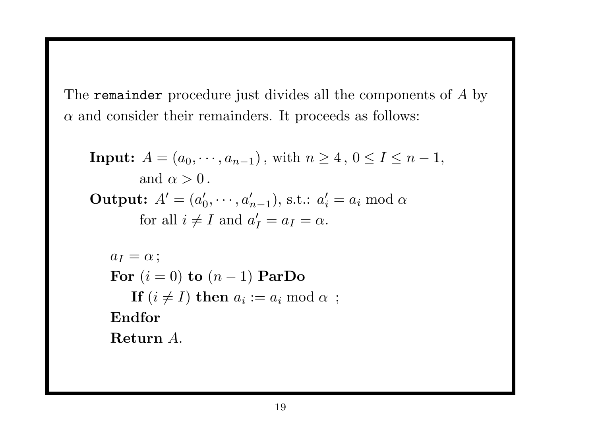The remainder procedure just divides all the components of  $A$  by  $\alpha$  and consider their remainders. It proceeds as follows:

Input: 
$$
A = (a_0, \dots, a_{n-1})
$$
, with  $n \geq 4$ ,  $0 \leq I \leq n-1$ ,  
\nand  $\alpha > 0$ .

\nOutput:  $A' = (a'_0, \dots, a'_{n-1})$ , s.t.:  $a'_i = a_i \mod \alpha$   
\nfor all  $i \neq I$  and  $a'_I = a_I = \alpha$ .

\n $a_I = \alpha$ ;

\nFor  $(i = 0)$  to  $(n - 1)$  ParDo

\nIf  $(i \neq I)$  then  $a_i := a_i \mod \alpha$ ;

\nEndfor

\nReturn A.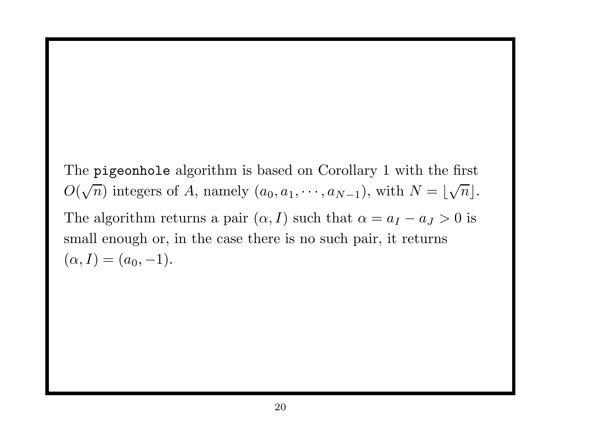The pigeonhole algorithm is based on Corollary 1 with the first  $O(\sqrt{n})$  integers of A, namely  $(a_0, a_1, \dots, a_{N-1})$ , with  $N = \lfloor \sqrt{n} \rfloor$ . The algorithm returns a pair  $(\alpha, I)$  such that  $\alpha = a_I - a_J > 0$  is small enough or, in the case there is no such pair, it returns  $(\alpha,I)=(a_0,-1).$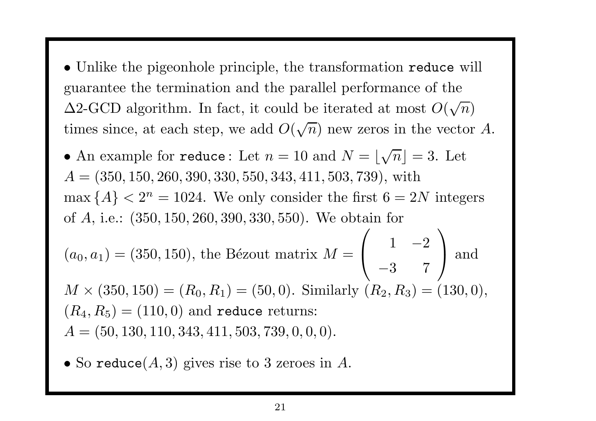• Unlike the pigeonhole principle, the transformation reduce will guarantee the termination and the parallel performance of the  $\Delta$ 2-GCD algorithm. In fact, it could be iterated at most  $O(\sqrt{n})$ times since, at each step, we add  $O(\sqrt{n})$  new zeros in the vector A.

• An example for reduce: Let  $n = 10$  and  $N = \lfloor \sqrt{n} \rfloor = 3$ . Let  $A = (350, 150, 260, 390, 330, 550, 343, 411, 503, 739)$ , with  $\max\{A\} < 2^n = 1024$ . We only consider the first  $6 = 2N$  integers of A, i.e.: (350, <sup>150</sup>, <sup>260</sup>, <sup>390</sup>, <sup>330</sup>, 550). We obtain for or *A*, i.e.: (350, 150, 260, 390, 330, 550). We obta<br>  $(a_0, a_1) = (350, 150)$ , the Bézout matrix  $M =$  $\begin{pmatrix} 1 & -2 \\ -3 & 7 \end{pmatrix}$ −3 7  $\bigg)$ ) and  $M \times (350, 150) = (R_0, R_1) = (50, 0)$ . Similarly  $(R_2, R_3) = (130, 0)$ ,  $(R_4,R_5)=(110,0)$  and reduce returns:  $A = (50, 130, 110, 343, 411, 503, 739, 0, 0, 0).$ 

 $\bullet$  So  $\texttt{reduce}(A,3)$  gives rise to 3 zeroes in  $A.$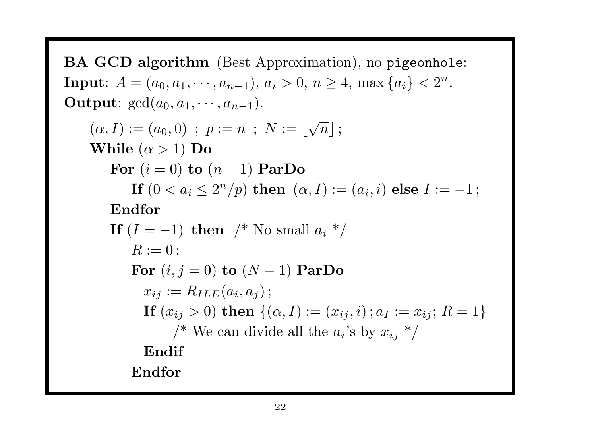BA GCD algorithm (Best Approximation), no <sup>p</sup>igeonhole: Input:  $A = (a_0, a_1, \dots, a_{n-1}), a_i > 0, n \ge 4, \max\{a_i\} < 2^n$ . **Output:**  $gcd(a_0, a_1, \cdots, a_{n-1}).$  $(\alpha, I) := (a_0, 0)$ ;  $p := n$ ;  $N := |\sqrt{n}|$ ; While  $(\alpha > 1)$  Do For  $(i = 0)$  to  $(n - 1)$  ParDo If  $(0 < a_i \leq 2^n/p)$  then  $(\alpha, I) := (a_i, i)$  else  $I := -1$ ; Endfor If  $(I = -1)$  then /\* No small  $a_i$  \*/  $R := 0$  ; For  $(i, j = 0)$  to  $(N - 1)$  ParDo  $x_{ij} := R_{ILE}(a_i, a_j);$ If  $(x_{ij} > 0)$  then  $\{(\alpha, I) := (x_{ij}, i) \; ; a_I := x_{ij}; R = 1\}$ /\* We can divide all the  $a_i$ 's by  $x_{ij}$  \*/ Endif Endfor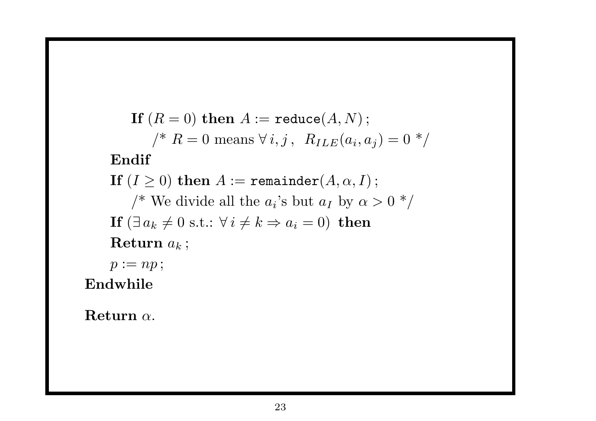If  $(R = 0)$  then  $A :=$  reduce $(A, N)$ ;  $\gamma^* R = 0$  means  $\forall i, j, R_{ILE}(a_i, a_j) = 0^*$ Endif If  $(I \geq 0)$  then  $A :=$  remainder $(A, \alpha, I)$ ; /\* We divide all the  $a_i$ 's but  $a_I$  by  $\alpha > 0$  \*/ If  $(\exists a_k \neq 0 \text{ s.t.}: \forall i \neq k \Rightarrow a_i = 0)$  then Return  $a_k$ ;  $p := np;$ 

Endwhile

Return  $\alpha$ .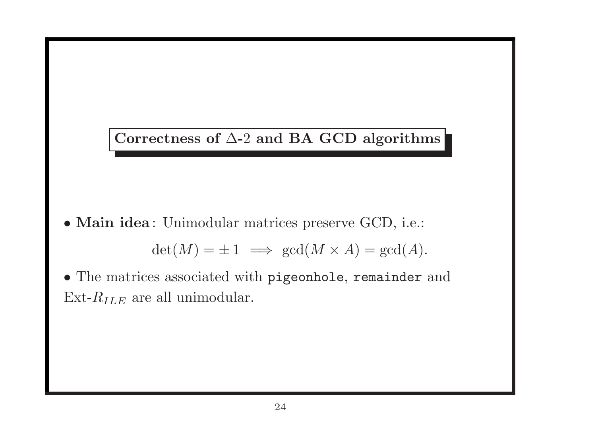

• Main idea : Unimodular matrices preserve GCD, i.e.:

 $\det(M) = \pm 1 \implies \gcd(M \times A) = \gcd(A).$ 

• The matrices associated with pigeonhole, remainder and Ext- $R_{ILE}$  are all unimodular.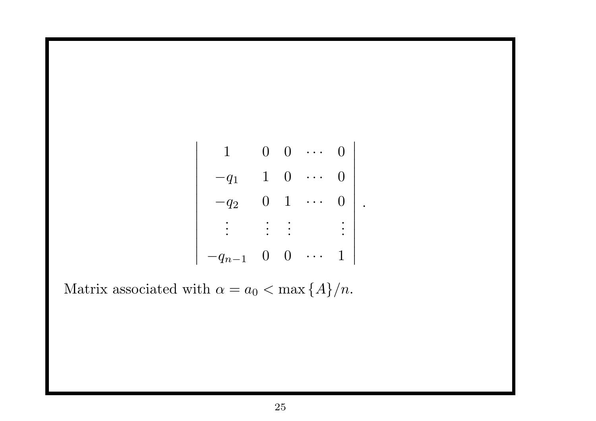|                      | $\mathbf{0}$ | Э              |  |  |
|----------------------|--------------|----------------|--|--|
| $q_1$                | $\mathbf 1$  | $\overline{0}$ |  |  |
| $q_2$                | $\mathbf{Q}$ |                |  |  |
|                      |              |                |  |  |
| $q_n$<br>$\mathbf 1$ | J            |                |  |  |

Matrix associated with  $\alpha = a_0 < \max\{A\}/n$ .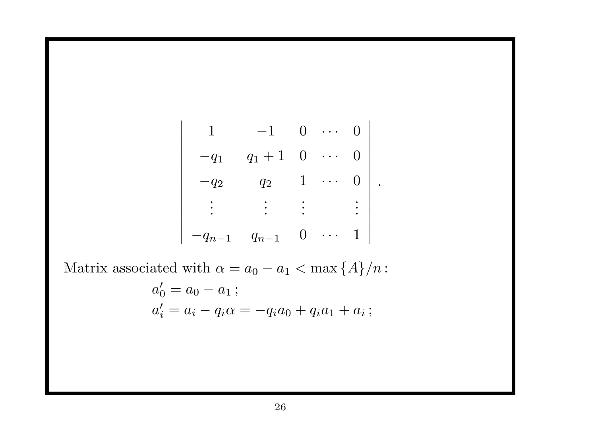$$
\begin{vmatrix}\n1 & -1 & 0 & \cdots & 0 \\
-q_1 & q_1 + 1 & 0 & \cdots & 0 \\
-q_2 & q_2 & 1 & \cdots & 0 \\
\vdots & \vdots & \vdots & \vdots & \vdots \\
-q_{n-1} & q_{n-1} & 0 & \cdots & 1\n\end{vmatrix}.
$$

Matrix associated with  $\alpha = a_0 - a_1 < \max\{A\}/n$ :

$$
a'_0 = a_0 - a_1 ;
$$
  
\n
$$
a'_i = a_i - q_i \alpha = -q_i a_0 + q_i a_1 + a_i ;
$$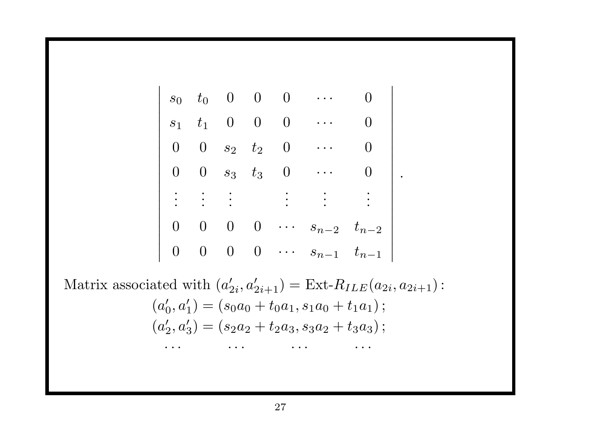$$
\begin{vmatrix}\ns_0 & t_0 & 0 & 0 & 0 & \cdots & 0 \\
s_1 & t_1 & 0 & 0 & 0 & \cdots & 0 \\
0 & 0 & s_2 & t_2 & 0 & \cdots & 0 \\
0 & 0 & s_3 & t_3 & 0 & \cdots & 0 \\
\vdots & \vdots & \vdots & \vdots & \vdots & \vdots & \vdots \\
0 & 0 & 0 & 0 & \cdots & s_{n-2} & t_{n-2} \\
0 & 0 & 0 & 0 & \cdots & s_{n-1} & t_{n-1}\n\end{vmatrix}
$$

Matrix associated with  $(a'_{2i}, a'_{2i+1}) = \text{Ext-}R_{ILE}(a_{2i}, a_{2i+1})$ :  $(a'_0, a'_1) = (s_0a_0 + t_0a_1, s_1a_0 + t_1a_1);$  $(a'_2, a'_3) = (s_2a_2 + t_2a_3, s_3a_2 + t_3a_3);$  $\cdot \cdot \cdot$   $\cdot \cdot \cdot$   $\cdot \cdot \cdot$   $\cdot \cdot \cdot$   $\cdot \cdot \cdot$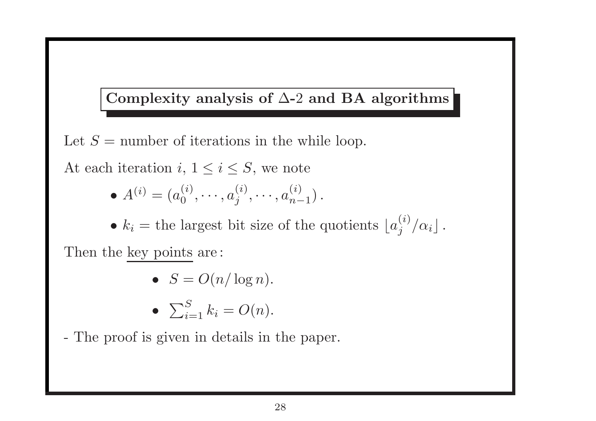## Complexity analysis of  $\Delta$ -2 and BA algorithms

Let  $S =$  number of iterations in the while loop.

At each iteration  $i, 1 \leq i \leq S$ , we note

 $A^{(i)} = (a_0^{(i)}$  $a_0^{(i)},\cdots,a_i^{(i)}$  $\binom{i}{j},\cdots,a_{n-1}^{(i)}$  $\binom{u}{n-1}$ .

•  $k_i$  = the largest bit size of the quotients  $\lfloor a_j^{(i)} / a_i \rfloor$ .

Then the key points are :

• 
$$
S = O(n/\log n).
$$

$$
\bullet \ \ \sum_{i=1}^{S} k_i = O(n).
$$

- The proof is given in details in the paper.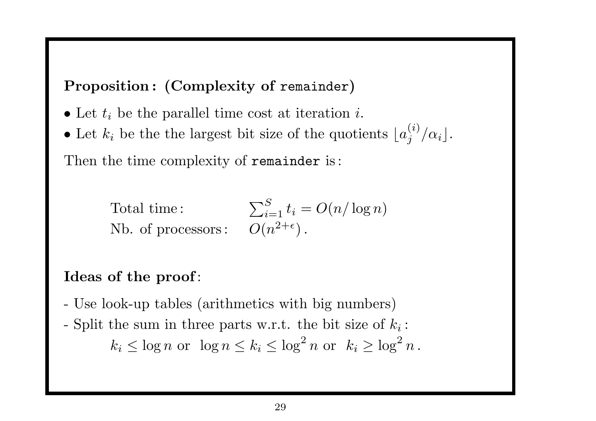Proposition : (Complexity of remainder )

- Let  $t_i$  be the parallel time cost at iteration i.
- Let  $k_i$  be the the largest bit size of the quotients  $\lfloor a_j^{(i)} / \alpha_i \rfloor$ .

Then the time complexity of remainder is:

Total time :  $\sum$ S  $\sum_{i=1}^{5} t_i = O(n/\log n)$ Nb. of processors:  $O(n^{2+\epsilon})$ .

## Ideas of the proof:

- Use look-up tables (arithmetics with big numbers)
- Split the sum in three parts w.r.t. the bit size of  $k_i$ :  $k_i\leq \log n \,\, {\rm or } \,\,\, \log n\leq k_i\leq \log^2 n \,\, {\rm or } \,\,\, k_i\geq \log^2 n\,.$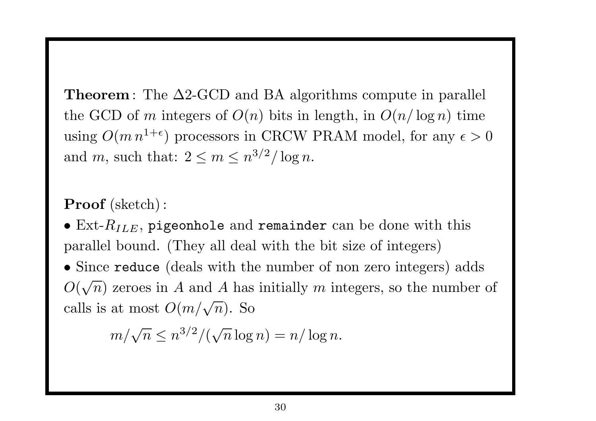**Theorem**: The  $\Delta 2$ -GCD and BA algorithms compute in parallel the GCD of m integers of  $O(n)$  bits in length, in  $O(n/\log n)$  time using  $O(m n^{1+\epsilon})$  processors in CRCW PRAM model, for any  $\epsilon > 0$ and m, such that:  $2 \le m \le n^{3/2}/\log n$ .

#### Proof (sketch):

 $\bullet$  Ext- $R_{ILE}$ , pigeonhole and remainder can be done with this parallel bound. (They all deal with the bit size of integers)

• Since reduce (deals with the number of non zero integers) adds  $O(\sqrt{n})$  zeroes in A and A has initially m integers, so the number of calls is at most  $O(m/\sqrt{n})$ . So

 $m/\sqrt{n} \le n^{3/2}/(\sqrt{n}\log n) = n/\log n.$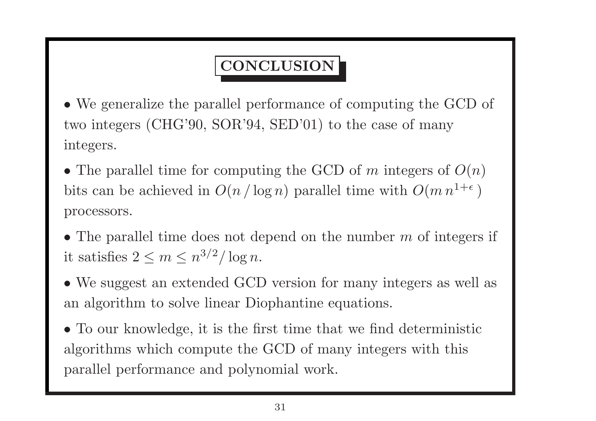# CONCLUSION

• We generalize the parallel performance of computing the GCD of two integers (CHG'90, SOR'94, SED'01) to the case of many integers.

• The parallel time for computing the GCD of m integers of  $O(n)$ bits can be achieved in  $O(n/\log n)$  parallel time with  $O(m n^{1+\epsilon})$ processors.

• The parallel time does not depend on the number  $m$  of integers if it satisfies  $2 \le m \le n^{3/2}/\log n$ .

• We suggest an extended GCD version for many integers as well as an algorithm to solve linear Diophantine equations.

• To our knowledge, it is the first time that we find deterministic algorithms which compute the GCD of many integers with this parallel performance and polynomial work.